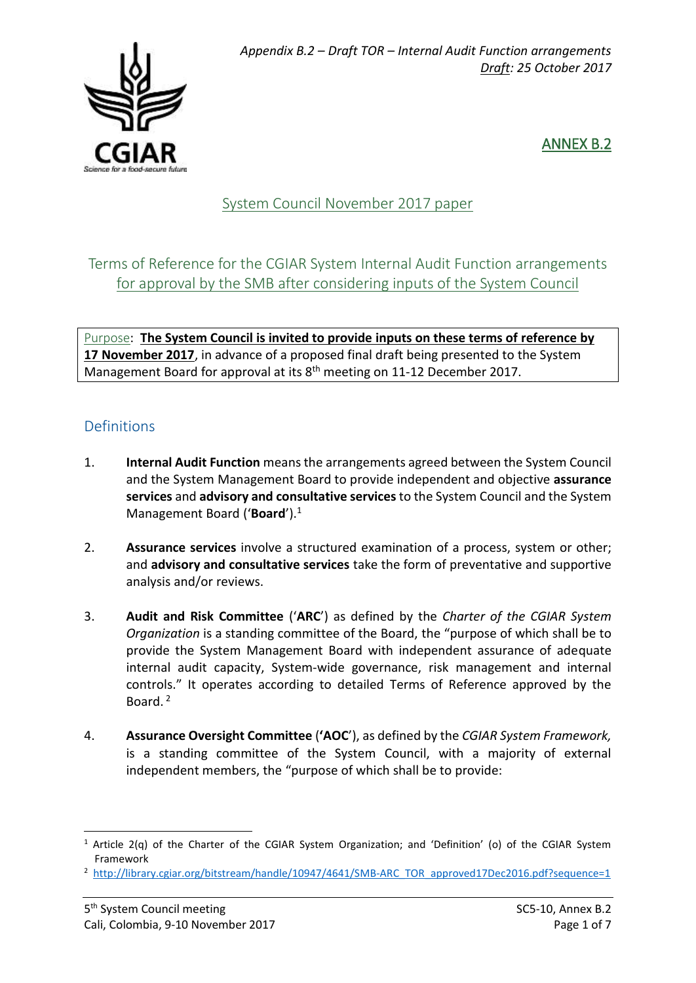

## ANNEX B.2

# System Council November 2017 paper

## Terms of Reference for the CGIAR System Internal Audit Function arrangements for approval by the SMB after considering inputs of the System Council

Purpose: **The System Council is invited to provide inputs on these terms of reference by 17 November 2017**, in advance of a proposed final draft being presented to the System Management Board for approval at its 8<sup>th</sup> meeting on 11-12 December 2017.

### Definitions

- 1. **Internal Audit Function** means the arrangements agreed between the System Council and the System Management Board to provide independent and objective **assurance services** and **advisory and consultative services** to the System Council and the System Management Board ('**Board**'). 1
- 2. **Assurance services** involve a structured examination of a process, system or other; and **advisory and consultative services** take the form of preventative and supportive analysis and/or reviews.
- 3. **Audit and Risk Committee** ('**ARC**') as defined by the *Charter of the CGIAR System Organization* is a standing committee of the Board, the "purpose of which shall be to provide the System Management Board with independent assurance of adequate internal audit capacity, System-wide governance, risk management and internal controls." It operates according to detailed Terms of Reference approved by the Board.<sup>2</sup>
- 4. **Assurance Oversight Committee** (**'AOC**'), as defined by the *CGIAR System Framework,*  is a standing committee of the System Council, with a majority of external independent members, the "purpose of which shall be to provide:

**.** 

<sup>&</sup>lt;sup>1</sup> Article 2(q) of the Charter of the CGIAR System Organization; and 'Definition' (o) of the CGIAR System Framework

<sup>&</sup>lt;sup>2</sup> [http://library.cgiar.org/bitstream/handle/10947/4641/SMB-ARC\\_TOR\\_approved17Dec2016.pdf?sequence=1](http://library.cgiar.org/bitstream/handle/10947/4641/SMB-ARC_TOR_approved17Dec2016.pdf?sequence=1)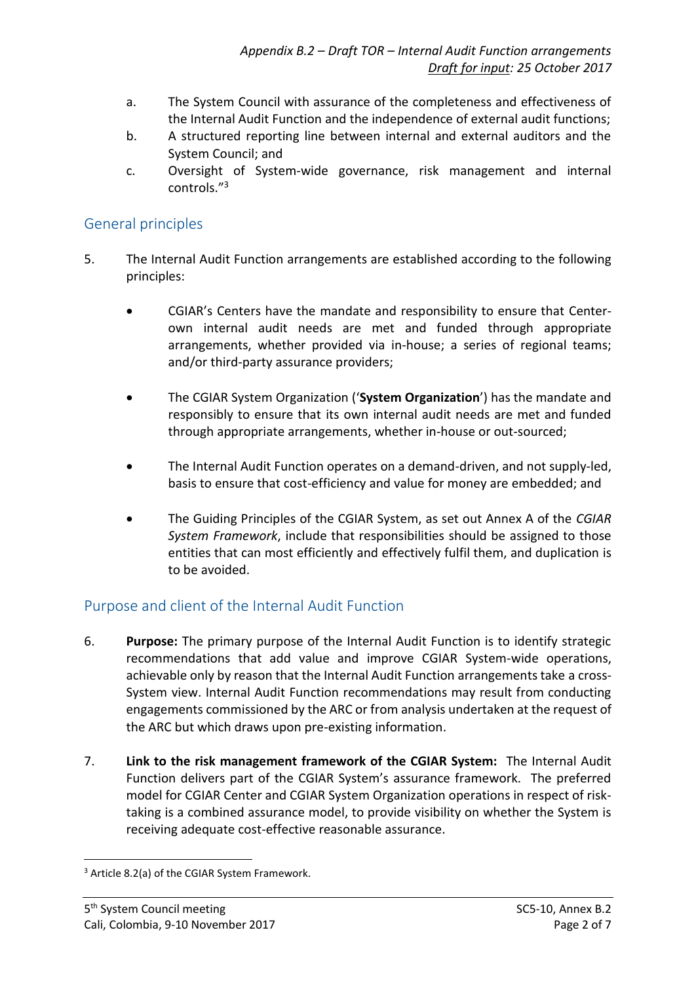- a. The System Council with assurance of the completeness and effectiveness of the Internal Audit Function and the independence of external audit functions;
- b. A structured reporting line between internal and external auditors and the System Council; and
- c. Oversight of System-wide governance, risk management and internal controls." 3

#### General principles

- 5. The Internal Audit Function arrangements are established according to the following principles:
	- CGIAR's Centers have the mandate and responsibility to ensure that Centerown internal audit needs are met and funded through appropriate arrangements, whether provided via in-house; a series of regional teams; and/or third-party assurance providers;
	- The CGIAR System Organization ('**System Organization**') has the mandate and responsibly to ensure that its own internal audit needs are met and funded through appropriate arrangements, whether in-house or out-sourced;
	- The Internal Audit Function operates on a demand-driven, and not supply-led, basis to ensure that cost-efficiency and value for money are embedded; and
	- The Guiding Principles of the CGIAR System, as set out Annex A of the *CGIAR System Framework*, include that responsibilities should be assigned to those entities that can most efficiently and effectively fulfil them, and duplication is to be avoided.

#### Purpose and client of the Internal Audit Function

- 6. **Purpose:** The primary purpose of the Internal Audit Function is to identify strategic recommendations that add value and improve CGIAR System-wide operations, achievable only by reason that the Internal Audit Function arrangements take a cross-System view. Internal Audit Function recommendations may result from conducting engagements commissioned by the ARC or from analysis undertaken at the request of the ARC but which draws upon pre-existing information.
- 7. **Link to the risk management framework of the CGIAR System:** The Internal Audit Function delivers part of the CGIAR System's assurance framework. The preferred model for CGIAR Center and CGIAR System Organization operations in respect of risktaking is a combined assurance model, to provide visibility on whether the System is receiving adequate cost-effective reasonable assurance.

**.** 

<sup>&</sup>lt;sup>3</sup> Article 8.2(a) of the CGIAR System Framework.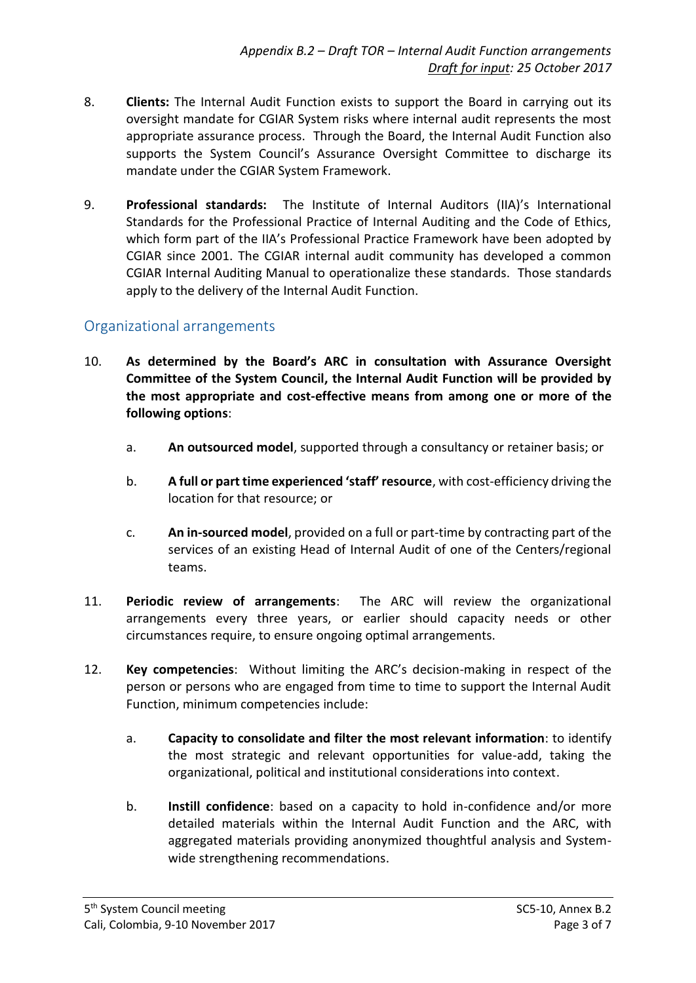- 8. **Clients:** The Internal Audit Function exists to support the Board in carrying out its oversight mandate for CGIAR System risks where internal audit represents the most appropriate assurance process. Through the Board, the Internal Audit Function also supports the System Council's Assurance Oversight Committee to discharge its mandate under the CGIAR System Framework.
- 9. **Professional standards:** The Institute of Internal Auditors (IIA)'s International Standards for the Professional Practice of Internal Auditing and the Code of Ethics, which form part of the IIA's Professional Practice Framework have been adopted by CGIAR since 2001. The CGIAR internal audit community has developed a common CGIAR Internal Auditing Manual to operationalize these standards. Those standards apply to the delivery of the Internal Audit Function.

#### Organizational arrangements

- 10. **As determined by the Board's ARC in consultation with Assurance Oversight Committee of the System Council, the Internal Audit Function will be provided by the most appropriate and cost-effective means from among one or more of the following options**:
	- a. **An outsourced model**, supported through a consultancy or retainer basis; or
	- b. **A full or part time experienced 'staff' resource**, with cost-efficiency driving the location for that resource; or
	- c. **An in-sourced model**, provided on a full or part-time by contracting part of the services of an existing Head of Internal Audit of one of the Centers/regional teams.
- 11. **Periodic review of arrangements**: The ARC will review the organizational arrangements every three years, or earlier should capacity needs or other circumstances require, to ensure ongoing optimal arrangements.
- 12. **Key competencies**: Without limiting the ARC's decision-making in respect of the person or persons who are engaged from time to time to support the Internal Audit Function, minimum competencies include:
	- a. **Capacity to consolidate and filter the most relevant information**: to identify the most strategic and relevant opportunities for value-add, taking the organizational, political and institutional considerations into context.
	- b. **Instill confidence**: based on a capacity to hold in-confidence and/or more detailed materials within the Internal Audit Function and the ARC, with aggregated materials providing anonymized thoughtful analysis and Systemwide strengthening recommendations.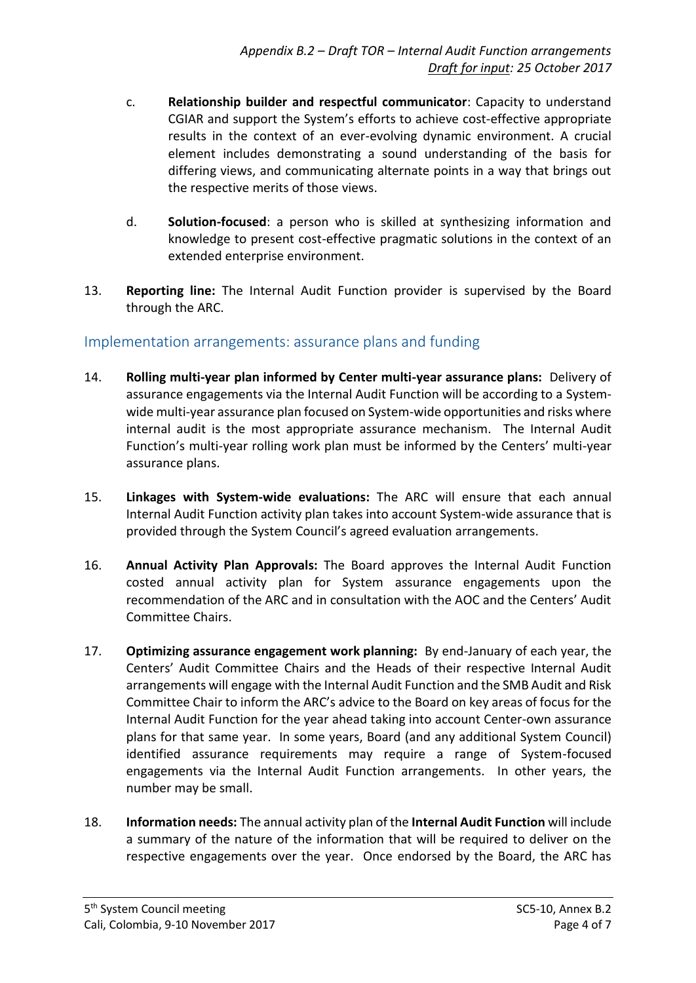- c. **Relationship builder and respectful communicator**: Capacity to understand CGIAR and support the System's efforts to achieve cost-effective appropriate results in the context of an ever-evolving dynamic environment. A crucial element includes demonstrating a sound understanding of the basis for differing views, and communicating alternate points in a way that brings out the respective merits of those views.
- d. **Solution-focused**: a person who is skilled at synthesizing information and knowledge to present cost-effective pragmatic solutions in the context of an extended enterprise environment.
- 13. **Reporting line:** The Internal Audit Function provider is supervised by the Board through the ARC.

#### Implementation arrangements: assurance plans and funding

- 14. **Rolling multi-year plan informed by Center multi-year assurance plans:** Delivery of assurance engagements via the Internal Audit Function will be according to a Systemwide multi-year assurance plan focused on System-wide opportunities and risks where internal audit is the most appropriate assurance mechanism. The Internal Audit Function's multi-year rolling work plan must be informed by the Centers' multi-year assurance plans.
- 15. **Linkages with System-wide evaluations:** The ARC will ensure that each annual Internal Audit Function activity plan takes into account System-wide assurance that is provided through the System Council's agreed evaluation arrangements.
- 16. **Annual Activity Plan Approvals:** The Board approves the Internal Audit Function costed annual activity plan for System assurance engagements upon the recommendation of the ARC and in consultation with the AOC and the Centers' Audit Committee Chairs.
- 17. **Optimizing assurance engagement work planning:** By end-January of each year, the Centers' Audit Committee Chairs and the Heads of their respective Internal Audit arrangements will engage with the Internal Audit Function and the SMB Audit and Risk Committee Chair to inform the ARC's advice to the Board on key areas of focus for the Internal Audit Function for the year ahead taking into account Center-own assurance plans for that same year. In some years, Board (and any additional System Council) identified assurance requirements may require a range of System-focused engagements via the Internal Audit Function arrangements. In other years, the number may be small.
- 18. **Information needs:** The annual activity plan of the **Internal Audit Function** will include a summary of the nature of the information that will be required to deliver on the respective engagements over the year. Once endorsed by the Board, the ARC has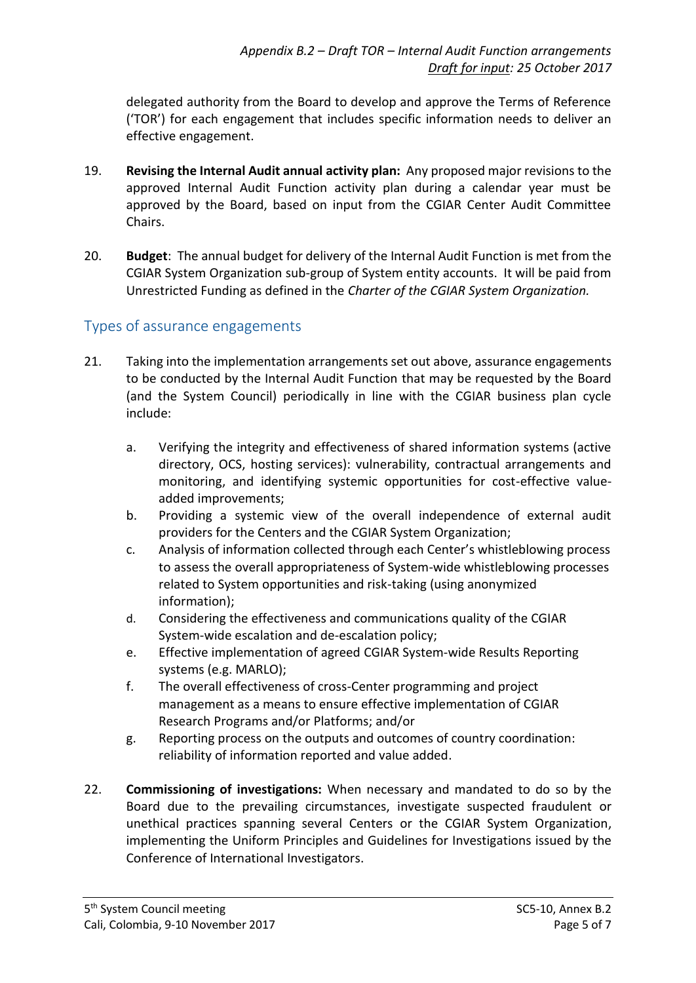delegated authority from the Board to develop and approve the Terms of Reference ('TOR') for each engagement that includes specific information needs to deliver an effective engagement.

- 19. **Revising the Internal Audit annual activity plan:** Any proposed major revisions to the approved Internal Audit Function activity plan during a calendar year must be approved by the Board, based on input from the CGIAR Center Audit Committee Chairs.
- 20. **Budget**: The annual budget for delivery of the Internal Audit Function is met from the CGIAR System Organization sub-group of System entity accounts. It will be paid from Unrestricted Funding as defined in the *Charter of the CGIAR System Organization.*

#### Types of assurance engagements

- 21. Taking into the implementation arrangements set out above, assurance engagements to be conducted by the Internal Audit Function that may be requested by the Board (and the System Council) periodically in line with the CGIAR business plan cycle include:
	- a. Verifying the integrity and effectiveness of shared information systems (active directory, OCS, hosting services): vulnerability, contractual arrangements and monitoring, and identifying systemic opportunities for cost-effective valueadded improvements;
	- b. Providing a systemic view of the overall independence of external audit providers for the Centers and the CGIAR System Organization;
	- c. Analysis of information collected through each Center's whistleblowing process to assess the overall appropriateness of System-wide whistleblowing processes related to System opportunities and risk-taking (using anonymized information);
	- d. Considering the effectiveness and communications quality of the CGIAR System-wide escalation and de-escalation policy;
	- e. Effective implementation of agreed CGIAR System-wide Results Reporting systems (e.g. MARLO);
	- f. The overall effectiveness of cross-Center programming and project management as a means to ensure effective implementation of CGIAR Research Programs and/or Platforms; and/or
	- g. Reporting process on the outputs and outcomes of country coordination: reliability of information reported and value added.
- 22. **Commissioning of investigations:** When necessary and mandated to do so by the Board due to the prevailing circumstances, investigate suspected fraudulent or unethical practices spanning several Centers or the CGIAR System Organization, implementing the Uniform Principles and Guidelines for Investigations issued by the Conference of International Investigators.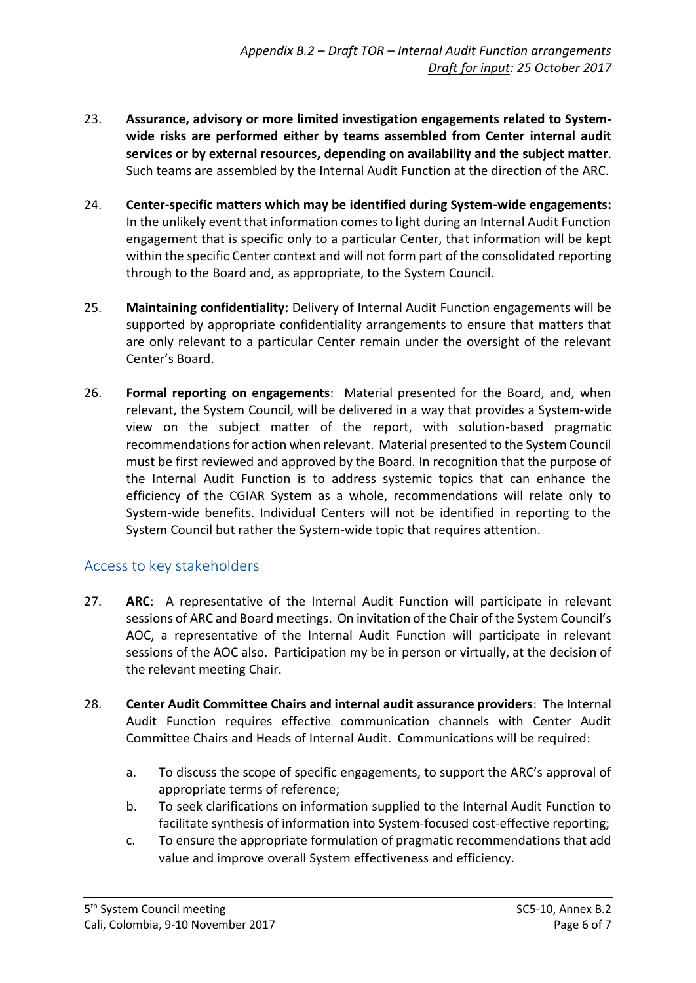- 23. **Assurance, advisory or more limited investigation engagements related to Systemwide risks are performed either by teams assembled from Center internal audit services or by external resources, depending on availability and the subject matter**. Such teams are assembled by the Internal Audit Function at the direction of the ARC.
- 24. **Center-specific matters which may be identified during System-wide engagements:** In the unlikely event that information comes to light during an Internal Audit Function engagement that is specific only to a particular Center, that information will be kept within the specific Center context and will not form part of the consolidated reporting through to the Board and, as appropriate, to the System Council.
- 25. **Maintaining confidentiality:** Delivery of Internal Audit Function engagements will be supported by appropriate confidentiality arrangements to ensure that matters that are only relevant to a particular Center remain under the oversight of the relevant Center's Board.
- 26. **Formal reporting on engagements**: Material presented for the Board, and, when relevant, the System Council, will be delivered in a way that provides a System-wide view on the subject matter of the report, with solution-based pragmatic recommendations for action when relevant. Material presented to the System Council must be first reviewed and approved by the Board. In recognition that the purpose of the Internal Audit Function is to address systemic topics that can enhance the efficiency of the CGIAR System as a whole, recommendations will relate only to System-wide benefits. Individual Centers will not be identified in reporting to the System Council but rather the System-wide topic that requires attention.

#### Access to key stakeholders

- 27. **ARC**: A representative of the Internal Audit Function will participate in relevant sessions of ARC and Board meetings. On invitation of the Chair of the System Council's AOC, a representative of the Internal Audit Function will participate in relevant sessions of the AOC also. Participation my be in person or virtually, at the decision of the relevant meeting Chair.
- 28. **Center Audit Committee Chairs and internal audit assurance providers**: The Internal Audit Function requires effective communication channels with Center Audit Committee Chairs and Heads of Internal Audit. Communications will be required:
	- a. To discuss the scope of specific engagements, to support the ARC's approval of appropriate terms of reference;
	- b. To seek clarifications on information supplied to the Internal Audit Function to facilitate synthesis of information into System-focused cost-effective reporting;
	- c. To ensure the appropriate formulation of pragmatic recommendations that add value and improve overall System effectiveness and efficiency.